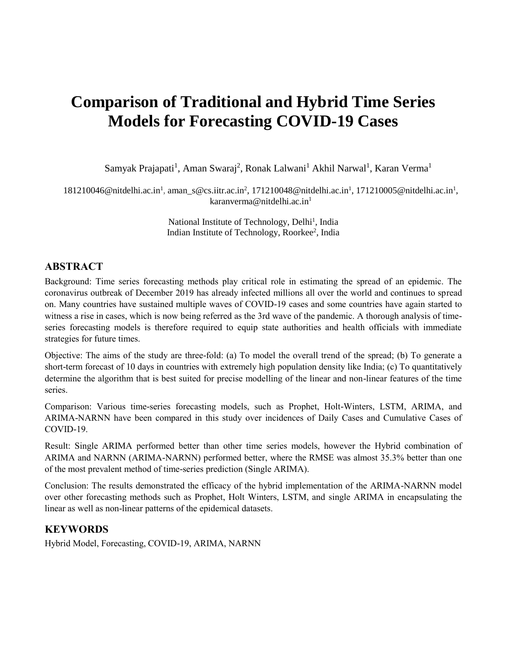# **Comparison of Traditional and Hybrid Time Series Models for Forecasting COVID-19 Cases**

Samyak Prajapati<sup>1</sup>, Aman Swaraj<sup>2</sup>, Ronak Lalwani<sup>1</sup> Akhil Narwal<sup>1</sup>, Karan Verma<sup>1</sup>

181210046@nitdelhi.ac.in<sup>1</sup>, aman\_s@cs.iitr.ac.in<sup>2</sup>, 171210048@nitdelhi.ac.in<sup>1</sup>, 171210005@nitdelhi.ac.in<sup>1</sup>, karanverma@nitdelhi.ac.in<sup>1</sup>

> National Institute of Technology, Delhi<sup>1</sup>, India Indian Institute of Technology, Roorkee<sup>2</sup>, India

### **ABSTRACT**

Background: Time series forecasting methods play critical role in estimating the spread of an epidemic. The coronavirus outbreak of December 2019 has already infected millions all over the world and continues to spread on. Many countries have sustained multiple waves of COVID-19 cases and some countries have again started to witness a rise in cases, which is now being referred as the 3rd wave of the pandemic. A thorough analysis of timeseries forecasting models is therefore required to equip state authorities and health officials with immediate strategies for future times.

Objective: The aims of the study are three-fold: (a) To model the overall trend of the spread; (b) To generate a short-term forecast of 10 days in countries with extremely high population density like India; (c) To quantitatively determine the algorithm that is best suited for precise modelling of the linear and non-linear features of the time series.

Comparison: Various time-series forecasting models, such as Prophet, Holt-Winters, LSTM, ARIMA, and ARIMA-NARNN have been compared in this study over incidences of Daily Cases and Cumulative Cases of COVID-19.

Result: Single ARIMA performed better than other time series models, however the Hybrid combination of ARIMA and NARNN (ARIMA-NARNN) performed better, where the RMSE was almost 35.3% better than one of the most prevalent method of time-series prediction (Single ARIMA).

Conclusion: The results demonstrated the efficacy of the hybrid implementation of the ARIMA-NARNN model over other forecasting methods such as Prophet, Holt Winters, LSTM, and single ARIMA in encapsulating the linear as well as non-linear patterns of the epidemical datasets.

# **KEYWORDS**

Hybrid Model, Forecasting, COVID-19, ARIMA, NARNN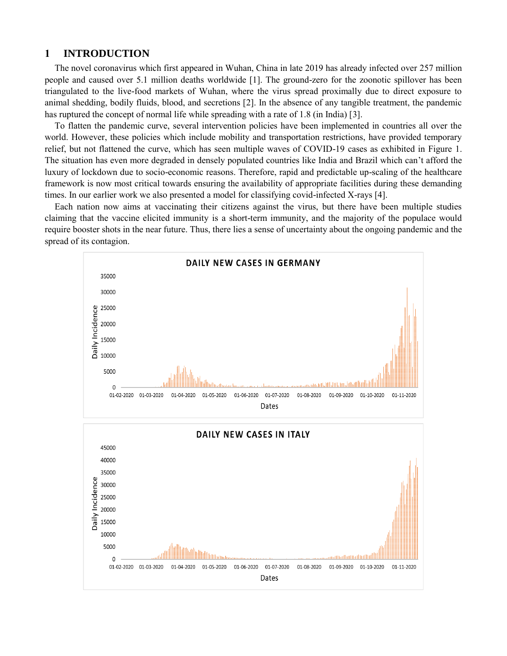#### **1 INTRODUCTION**

The novel coronavirus which first appeared in Wuhan, China in late 2019 has already infected over 257 million people and caused over 5.1 million deaths worldwide [1]. The ground-zero for the zoonotic spillover has been triangulated to the live-food markets of Wuhan, where the virus spread proximally due to direct exposure to animal shedding, bodily fluids, blood, and secretions [2]. In the absence of any tangible treatment, the pandemic has ruptured the concept of normal life while spreading with a rate of 1.8 (in India) [3].

To flatten the pandemic curve, several intervention policies have been implemented in countries all over the world. However, these policies which include mobility and transportation restrictions, have provided temporary relief, but not flattened the curve, which has seen multiple waves of COVID-19 cases as exhibited in Figure 1. The situation has even more degraded in densely populated countries like India and Brazil which can't afford the luxury of lockdown due to socio-economic reasons. Therefore, rapid and predictable up-scaling of the healthcare framework is now most critical towards ensuring the availability of appropriate facilities during these demanding times. In our earlier work we also presented a model for classifying covid-infected X-rays [4].

Each nation now aims at vaccinating their citizens against the virus, but there have been multiple studies claiming that the vaccine elicited immunity is a short-term immunity, and the majority of the populace would require booster shots in the near future. Thus, there lies a sense of uncertainty about the ongoing pandemic and the spread of its contagion.

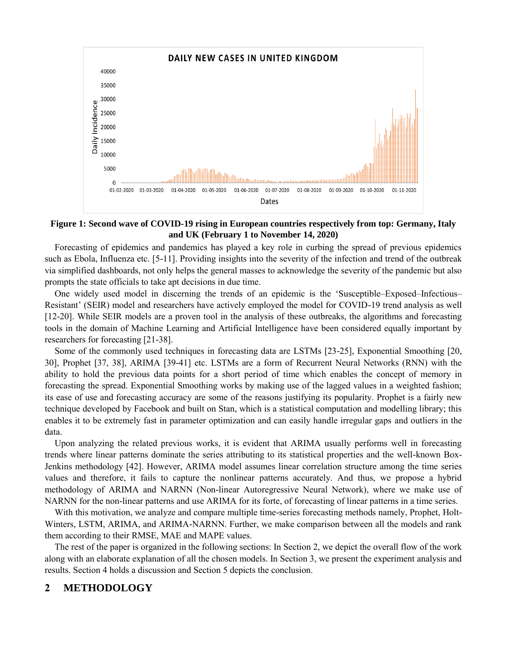

#### **Figure 1: Second wave of COVID-19 rising in European countries respectively from top: Germany, Italy and UK (February 1 to November 14, 2020)**

Forecasting of epidemics and pandemics has played a key role in curbing the spread of previous epidemics such as Ebola, Influenza etc. [5-11]. Providing insights into the severity of the infection and trend of the outbreak via simplified dashboards, not only helps the general masses to acknowledge the severity of the pandemic but also prompts the state officials to take apt decisions in due time.

One widely used model in discerning the trends of an epidemic is the 'Susceptible–Exposed–Infectious– Resistant' (SEIR) model and researchers have actively employed the model for COVID-19 trend analysis as well [12-20]. While SEIR models are a proven tool in the analysis of these outbreaks, the algorithms and forecasting tools in the domain of Machine Learning and Artificial Intelligence have been considered equally important by researchers for forecasting [21-38].

Some of the commonly used techniques in forecasting data are LSTMs [23-25], Exponential Smoothing [20, 30], Prophet [37, 38], ARIMA [39-41] etc. LSTMs are a form of Recurrent Neural Networks (RNN) with the ability to hold the previous data points for a short period of time which enables the concept of memory in forecasting the spread. Exponential Smoothing works by making use of the lagged values in a weighted fashion; its ease of use and forecasting accuracy are some of the reasons justifying its popularity. Prophet is a fairly new technique developed by Facebook and built on Stan, which is a statistical computation and modelling library; this enables it to be extremely fast in parameter optimization and can easily handle irregular gaps and outliers in the data.

Upon analyzing the related previous works, it is evident that ARIMA usually performs well in forecasting trends where linear patterns dominate the series attributing to its statistical properties and the well-known Box-Jenkins methodology [42]. However, ARIMA model assumes linear correlation structure among the time series values and therefore, it fails to capture the nonlinear patterns accurately. And thus, we propose a hybrid methodology of ARIMA and NARNN (Non-linear Autoregressive Neural Network), where we make use of NARNN for the non-linear patterns and use ARIMA for its forte, of forecasting of linear patterns in a time series.

With this motivation, we analyze and compare multiple time-series forecasting methods namely, Prophet, Holt-Winters, LSTM, ARIMA, and ARIMA-NARNN. Further, we make comparison between all the models and rank them according to their RMSE, MAE and MAPE values.

The rest of the paper is organized in the following sections: In Section 2, we depict the overall flow of the work along with an elaborate explanation of all the chosen models. In Section 3, we present the experiment analysis and results. Section 4 holds a discussion and Section 5 depicts the conclusion.

#### **2 METHODOLOGY**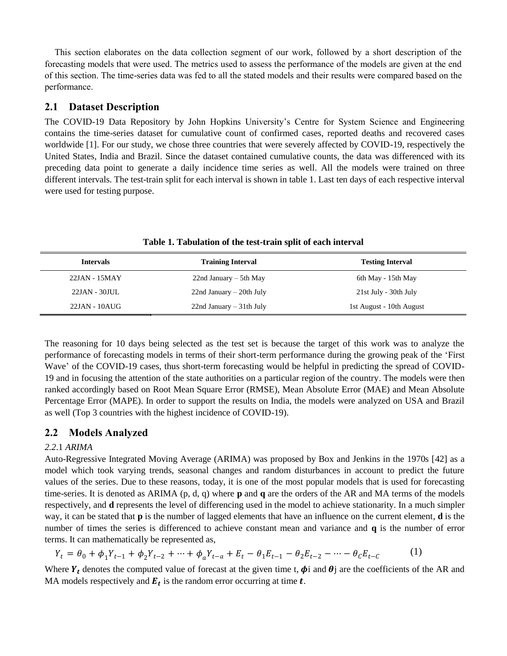This section elaborates on the data collection segment of our work, followed by a short description of the forecasting models that were used. The metrics used to assess the performance of the models are given at the end of this section. The time-series data was fed to all the stated models and their results were compared based on the performance.

### **2.1 Dataset Description**

The COVID-19 Data Repository by John Hopkins University's Centre for System Science and Engineering contains the time-series dataset for cumulative count of confirmed cases, reported deaths and recovered cases worldwide [1]. For our study, we chose three countries that were severely affected by COVID-19, respectively the United States, India and Brazil. Since the dataset contained cumulative counts, the data was differenced with its preceding data point to generate a daily incidence time series as well. All the models were trained on three different intervals. The test-train split for each interval is shown in table 1. Last ten days of each respective interval were used for testing purpose.

| <b>Intervals</b> | <b>Training Interval</b>    | <b>Testing Interval</b>  |
|------------------|-----------------------------|--------------------------|
| 22JAN - 15MAY    | $22nd January - 5th May$    | 6th May - 15th May       |
| $22JAN - 30JUL$  | $22nd January - 20th July$  | 21st July - 30th July    |
| $22JAN - 10AUG$  | $22nd$ January $-31th$ July | 1st August - 10th August |

**Table 1. Tabulation of the test-train split of each interval**

The reasoning for 10 days being selected as the test set is because the target of this work was to analyze the performance of forecasting models in terms of their short-term performance during the growing peak of the 'First Wave' of the COVID-19 cases, thus short-term forecasting would be helpful in predicting the spread of COVID-19 and in focusing the attention of the state authorities on a particular region of the country. The models were then ranked accordingly based on Root Mean Square Error (RMSE), Mean Absolute Error (MAE) and Mean Absolute Percentage Error (MAPE). In order to support the results on India, the models were analyzed on USA and Brazil as well (Top 3 countries with the highest incidence of COVID-19).

# **2.2 Models Analyzed**

#### *2.2*.1 *ARIMA*

Auto-Regressive Integrated Moving Average (ARIMA) was proposed by Box and Jenkins in the 1970s [42] as a model which took varying trends, seasonal changes and random disturbances in account to predict the future values of the series. Due to these reasons, today, it is one of the most popular models that is used for forecasting time-series. It is denoted as ARIMA (p, d, q) where **p** and **q** are the orders of the AR and MA terms of the models respectively, and **d** represents the level of differencing used in the model to achieve stationarity. In a much simpler way, it can be stated that **p** is the number of lagged elements that have an influence on the current element, **d** is the number of times the series is differenced to achieve constant mean and variance and **q** is the number of error terms. It can mathematically be represented as,

$$
Y_t = \theta_0 + \phi_1 Y_{t-1} + \phi_2 Y_{t-2} + \dots + \phi_a Y_{t-a} + E_t - \theta_1 E_{t-1} - \theta_2 E_{t-2} - \dots - \theta_c E_{t-c}
$$
(1)

Where  $Y_t$  denotes the computed value of forecast at the given time t,  $\phi$  and  $\theta$  are the coefficients of the AR and MA models respectively and  $E_t$  is the random error occurring at time  $t$ .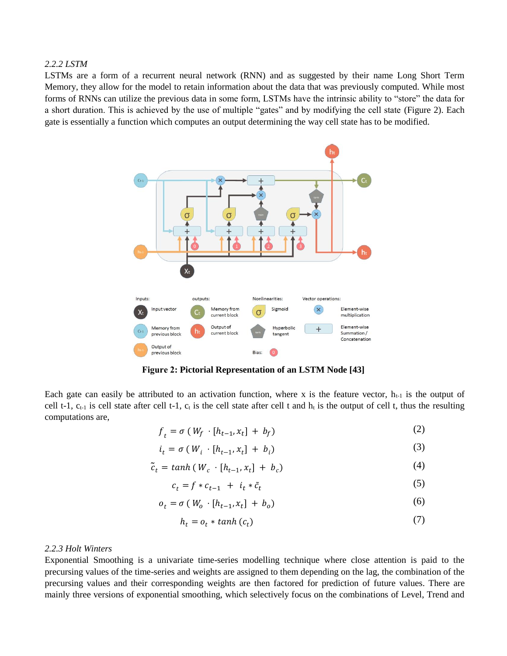#### *2.2.2 LSTM*

LSTMs are a form of a recurrent neural network (RNN) and as suggested by their name Long Short Term Memory, they allow for the model to retain information about the data that was previously computed. While most forms of RNNs can utilize the previous data in some form, LSTMs have the intrinsic ability to "store" the data for a short duration. This is achieved by the use of multiple "gates" and by modifying the cell state (Figure 2). Each gate is essentially a function which computes an output determining the way cell state has to be modified.



**Figure 2: Pictorial Representation of an LSTM Node [43]**

Each gate can easily be attributed to an activation function, where x is the feature vector,  $h_{t-1}$  is the output of cell t-1,  $c_{t-1}$  is cell state after cell t-1,  $c_t$  is the cell state after cell t and  $h_t$  is the output of cell t, thus the resulting computations are,

$$
f_t = \sigma \left( W_f \cdot [h_{t-1}, x_t] + b_f \right) \tag{2}
$$

$$
i_t = \sigma \left( W_i \cdot [h_{t-1}, x_t] + b_i \right) \tag{3}
$$

$$
\tilde{c}_t = \tanh\left(W_c \cdot [h_{t-1}, x_t] + b_c\right) \tag{4}
$$

$$
c_t = f * c_{t-1} + i_t * \tilde{c}_t \tag{5}
$$

$$
o_t = \sigma \left( W_o \cdot [h_{t-1}, x_t] + b_o \right) \tag{6}
$$

$$
h_t = o_t * \tanh(c_t) \tag{7}
$$

#### *2.2.3 Holt Winters*

Exponential Smoothing is a univariate time-series modelling technique where close attention is paid to the precursing values of the time-series and weights are assigned to them depending on the lag, the combination of the precursing values and their corresponding weights are then factored for prediction of future values. There are mainly three versions of exponential smoothing, which selectively focus on the combinations of Level, Trend and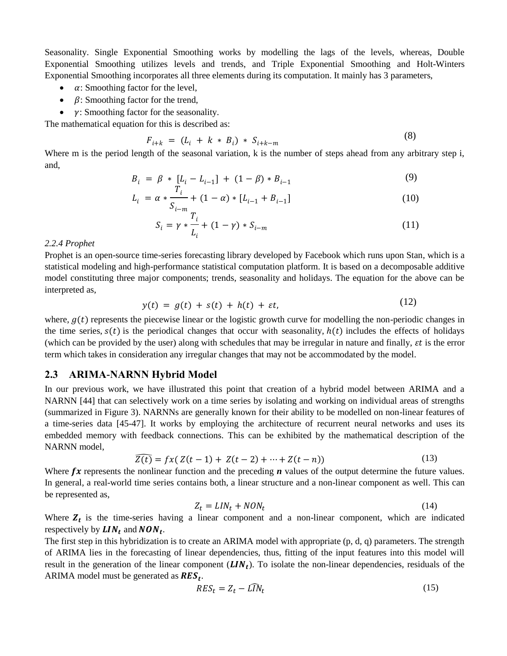Seasonality. Single Exponential Smoothing works by modelling the lags of the levels, whereas, Double Exponential Smoothing utilizes levels and trends, and Triple Exponential Smoothing and Holt-Winters Exponential Smoothing incorporates all three elements during its computation. It mainly has 3 parameters,

- $\alpha$ : Smoothing factor for the level,
- $\beta$ : Smoothing factor for the trend,
- $\gamma$ : Smoothing factor for the seasonality.

The mathematical equation for this is described as:

$$
F_{i+k} = (L_i + k * B_i) * S_{i+k-m}
$$
 (8)

 $(9)$ 

 $(12)$ 

Where m is the period length of the seasonal variation, k is the number of steps ahead from any arbitrary step i, and,

$$
B_i = \beta * [L_i - L_{i-1}] + (1 - \beta) * B_{i-1}
$$
\n(9)

$$
L_i = \alpha * \frac{I_i}{S_{i-m}} + (1 - \alpha) * [L_{i-1} + B_{i-1}]
$$
\n(10)

$$
S_i = \gamma * \frac{I_i}{L_i} + (1 - \gamma) * S_{i-m}
$$
 (11)

#### *2.2.4 Prophet*

Prophet is an open-source time-series forecasting library developed by Facebook which runs upon Stan, which is a statistical modeling and high-performance statistical computation platform. It is based on a decomposable additive model constituting three major components; trends, seasonality and holidays. The equation for the above can be interpreted as,

$$
y(t) = g(t) + s(t) + h(t) + \varepsilon t, \tag{12}
$$

where,  $g(t)$  represents the piecewise linear or the logistic growth curve for modelling the non-periodic changes in the time series,  $s(t)$  is the periodical changes that occur with seasonality,  $h(t)$  includes the effects of holidays (which can be provided by the user) along with schedules that may be irregular in nature and finally,  $\epsilon t$  is the error term which takes in consideration any irregular changes that may not be accommodated by the model.

#### **2.3 ARIMA-NARNN Hybrid Model**

In our previous work, we have illustrated this point that creation of a hybrid model between ARIMA and a NARNN [44] that can selectively work on a time series by isolating and working on individual areas of strengths (summarized in Figure 3). NARNNs are generally known for their ability to be modelled on non-linear features of a time-series data [45-47]. It works by employing the architecture of recurrent neural networks and uses its embedded memory with feedback connections. This can be exhibited by the mathematical description of the NARNN model,

$$
\widehat{Z(t)} = fx(Z(t-1) + Z(t-2) + \dots + Z(t-n))
$$
\n(13)

Where  $f\mathbf{x}$  represents the nonlinear function and the preceding  $\mathbf{n}$  values of the output determine the future values. In general, a real-world time series contains both, a linear structure and a non-linear component as well. This can be represented as,

$$
Z_t = LIN_t + NON_t \tag{14}
$$

Where  $Z_t$  is the time-series having a linear component and a non-linear component, which are indicated respectively by  $LIN_t$  and  $NON_t$ .

The first step in this hybridization is to create an ARIMA model with appropriate (p, d, q) parameters. The strength of ARIMA lies in the forecasting of linear dependencies, thus, fitting of the input features into this model will result in the generation of the linear component  $(LIN_t)$ . To isolate the non-linear dependencies, residuals of the ARIMA model must be generated as  $RES_t$ .

$$
RES_t = Z_t - L\widehat{IN}_t \tag{15}
$$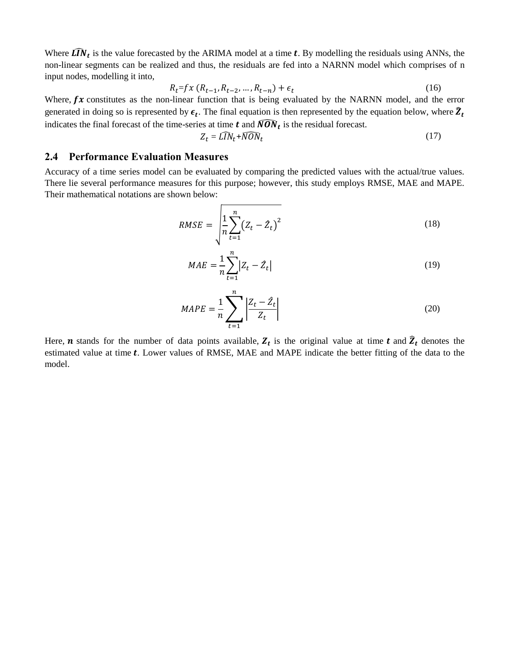Where  $\widehat{LN}_t$  is the value forecasted by the ARIMA model at a time t. By modelling the residuals using ANNs, the non-linear segments can be realized and thus, the residuals are fed into a NARNN model which comprises of n input nodes, modelling it into,

$$
R_t = fx (R_{t-1}, R_{t-2}, \dots, R_{t-n}) + \epsilon_t
$$
\n(16)

Where,  $fx$  constitutes as the non-linear function that is being evaluated by the NARNN model, and the error generated in doing so is represented by  $\epsilon_t$ . The final equation is then represented by the equation below, where  $\hat{Z}_t$ indicates the final forecast of the time-series at time  $t$  and  $\widehat{NON}_t$  is the residual forecast.

$$
Z_t = L\widehat{IN}_t + \widehat{NON}_t \tag{17}
$$

#### **2.4 Performance Evaluation Measures**

Accuracy of a time series model can be evaluated by comparing the predicted values with the actual/true values. There lie several performance measures for this purpose; however, this study employs RMSE, MAE and MAPE. Their mathematical notations are shown below:

$$
RMSE = \sqrt{\frac{1}{n} \sum_{t=1}^{n} (Z_t - \hat{Z}_t)^2}
$$
 (18)

$$
MAE = \frac{1}{n} \sum_{t=1}^{n} |Z_t - \hat{Z}_t|
$$
\n(19)

$$
MAPE = \frac{1}{n} \sum_{t=1}^{n} \left| \frac{Z_t - \hat{Z}_t}{Z_t} \right| \tag{20}
$$

Here, **n** stands for the number of data points available,  $Z_t$  is the original value at time **t** and  $\hat{Z}_t$  denotes the estimated value at time  $t$ . Lower values of RMSE, MAE and MAPE indicate the better fitting of the data to the model.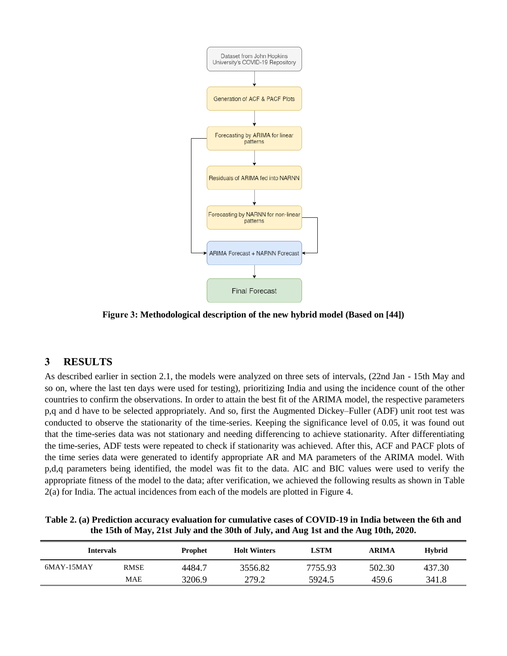

**Figure 3: Methodological description of the new hybrid model (Based on [44])**

# **3 RESULTS**

As described earlier in section 2.1, the models were analyzed on three sets of intervals, (22nd Jan - 15th May and so on, where the last ten days were used for testing), prioritizing India and using the incidence count of the other countries to confirm the observations. In order to attain the best fit of the ARIMA model, the respective parameters p,q and d have to be selected appropriately. And so, first the Augmented Dickey–Fuller (ADF) unit root test was conducted to observe the stationarity of the time-series. Keeping the significance level of 0.05, it was found out that the time-series data was not stationary and needing differencing to achieve stationarity. After differentiating the time-series, ADF tests were repeated to check if stationarity was achieved. After this, ACF and PACF plots of the time series data were generated to identify appropriate AR and MA parameters of the ARIMA model. With p,d,q parameters being identified, the model was fit to the data. AIC and BIC values were used to verify the appropriate fitness of the model to the data; after verification, we achieved the following results as shown in Table 2(a) for India. The actual incidences from each of the models are plotted in Figure 4.

| Table 2. (a) Prediction accuracy evaluation for cumulative cases of COVID-19 in India between the 6th and |
|-----------------------------------------------------------------------------------------------------------|
| the 15th of May, 21st July and the 30th of July, and Aug 1st and the Aug 10th, 2020.                      |

| Intervals  |             | <b>Prophet</b> | <b>Holt Winters</b> | LSTM    | ARIMA  | <b>Hybrid</b> |
|------------|-------------|----------------|---------------------|---------|--------|---------------|
| 6MAY-15MAY | <b>RMSE</b> | 4484.7         | 3556.82             | 7755.93 | 502.30 | 437.30        |
|            | MAE         | 3206.9         | 279.2               | 5924.5  | 459.6  | 341.8         |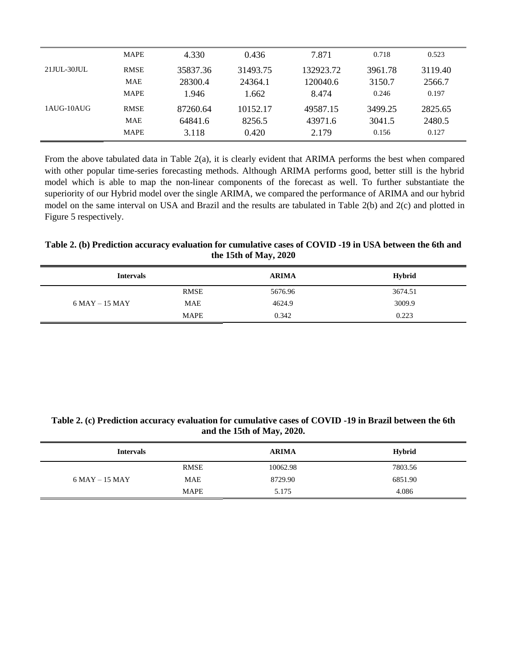|             | <b>MAPE</b> | 4.330    | 0.436    | 7.871     | 0.718   | 0.523   |
|-------------|-------------|----------|----------|-----------|---------|---------|
| 21JUL-30JUL | <b>RMSE</b> | 35837.36 | 31493.75 | 132923.72 | 3961.78 | 3119.40 |
|             | <b>MAE</b>  | 28300.4  | 24364.1  | 120040.6  | 3150.7  | 2566.7  |
|             | <b>MAPE</b> | 1.946    | 1.662    | 8.474     | 0.246   | 0.197   |
| 1AUG-10AUG  | <b>RMSE</b> | 87260.64 | 10152.17 | 49587.15  | 3499.25 | 2825.65 |
|             | <b>MAE</b>  | 64841.6  | 8256.5   | 43971.6   | 3041.5  | 2480.5  |
|             | <b>MAPE</b> | 3.118    | 0.420    | 2.179     | 0.156   | 0.127   |

From the above tabulated data in Table 2(a), it is clearly evident that ARIMA performs the best when compared with other popular time-series forecasting methods. Although ARIMA performs good, better still is the hybrid model which is able to map the non-linear components of the forecast as well. To further substantiate the superiority of our Hybrid model over the single ARIMA, we compared the performance of ARIMA and our hybrid model on the same interval on USA and Brazil and the results are tabulated in Table 2(b) and 2(c) and plotted in Figure 5 respectively.

#### **Table 2. (b) Prediction accuracy evaluation for cumulative cases of COVID -19 in USA between the 6th and the 15th of May, 2020**

| <b>Intervals</b>  |             | <b>ARIMA</b> | <b>Hybrid</b> |
|-------------------|-------------|--------------|---------------|
|                   | <b>RMSE</b> | 5676.96      | 3674.51       |
| $6$ MAY $-15$ MAY | <b>MAE</b>  | 4624.9       | 3009.9        |
|                   | <b>MAPE</b> | 0.342        | 0.223         |

#### **Table 2. (c) Prediction accuracy evaluation for cumulative cases of COVID -19 in Brazil between the 6th and the 15th of May, 2020.**

| <b>Intervals</b>  |             | <b>ARIMA</b> | <b>Hybrid</b> |
|-------------------|-------------|--------------|---------------|
|                   | <b>RMSE</b> | 10062.98     | 7803.56       |
| $6$ MAY $-15$ MAY | <b>MAE</b>  | 8729.90      | 6851.90       |
|                   | <b>MAPE</b> | 5.175        | 4.086         |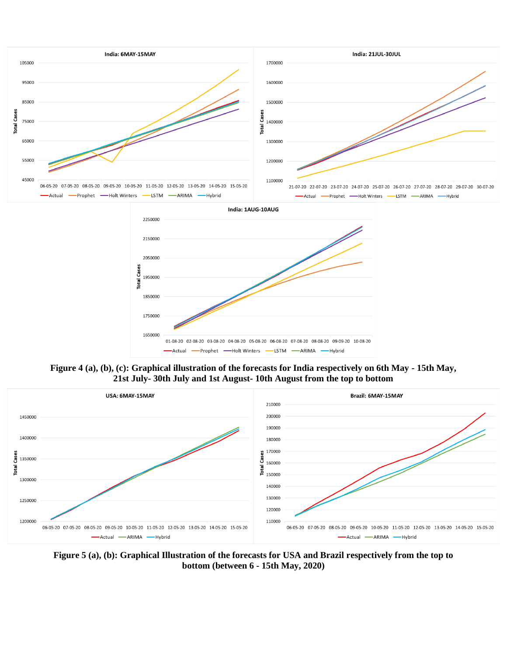

**Figure 4 (a), (b), (c): Graphical illustration of the forecasts for India respectively on 6th May - 15th May, 21st July- 30th July and 1st August- 10th August from the top to bottom**



**Figure 5 (a), (b): Graphical Illustration of the forecasts for USA and Brazil respectively from the top to bottom (between 6 - 15th May, 2020)**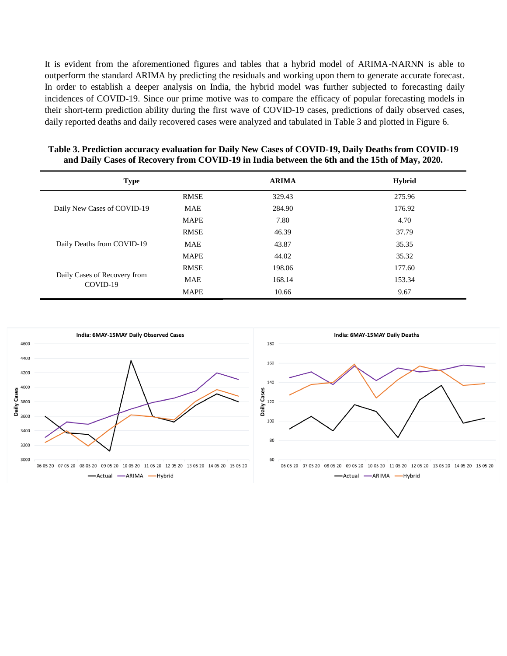It is evident from the aforementioned figures and tables that a hybrid model of ARIMA-NARNN is able to outperform the standard ARIMA by predicting the residuals and working upon them to generate accurate forecast. In order to establish a deeper analysis on India, the hybrid model was further subjected to forecasting daily incidences of COVID-19. Since our prime motive was to compare the efficacy of popular forecasting models in their short-term prediction ability during the first wave of COVID-19 cases, predictions of daily observed cases, daily reported deaths and daily recovered cases were analyzed and tabulated in Table 3 and plotted in Figure 6.

| <b>Type</b>                              |             | <b>ARIMA</b> | <b>Hybrid</b> |
|------------------------------------------|-------------|--------------|---------------|
|                                          | <b>RMSE</b> | 329.43       | 275.96        |
| Daily New Cases of COVID-19              | <b>MAE</b>  | 284.90       | 176.92        |
|                                          | <b>MAPE</b> | 7.80         | 4.70          |
|                                          | <b>RMSE</b> | 46.39        | 37.79         |
| Daily Deaths from COVID-19               | <b>MAE</b>  | 43.87        | 35.35         |
|                                          | <b>MAPE</b> | 44.02        | 35.32         |
|                                          | <b>RMSE</b> | 198.06       | 177.60        |
| Daily Cases of Recovery from<br>COVID-19 | <b>MAE</b>  | 168.14       | 153.34        |
|                                          | <b>MAPE</b> | 10.66        | 9.67          |

| Table 3. Prediction accuracy evaluation for Daily New Cases of COVID-19, Daily Deaths from COVID-19 |  |
|-----------------------------------------------------------------------------------------------------|--|
| and Daily Cases of Recovery from COVID-19 in India between the 6th and the 15th of May, 2020.       |  |

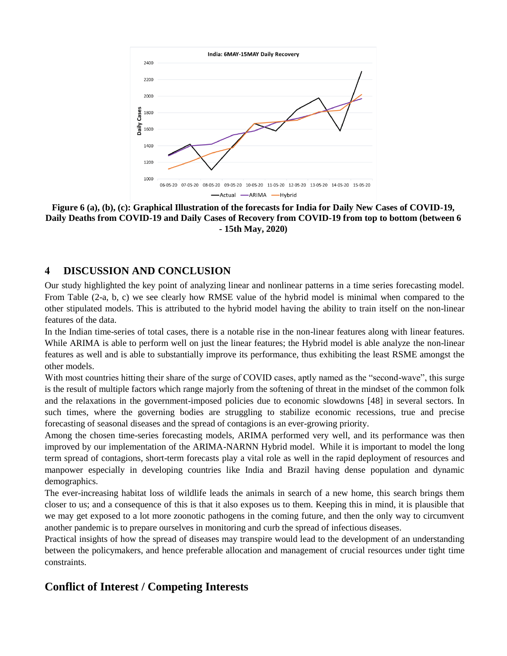

**Figure 6 (a), (b), (c): Graphical Illustration of the forecasts for India for Daily New Cases of COVID-19, Daily Deaths from COVID-19 and Daily Cases of Recovery from COVID-19 from top to bottom (between 6 - 15th May, 2020)**

# **4 DISCUSSION AND CONCLUSION**

Our study highlighted the key point of analyzing linear and nonlinear patterns in a time series forecasting model. From Table (2-a, b, c) we see clearly how RMSE value of the hybrid model is minimal when compared to the other stipulated models. This is attributed to the hybrid model having the ability to train itself on the non-linear features of the data.

In the Indian time-series of total cases, there is a notable rise in the non-linear features along with linear features. While ARIMA is able to perform well on just the linear features; the Hybrid model is able analyze the non-linear features as well and is able to substantially improve its performance, thus exhibiting the least RSME amongst the other models.

With most countries hitting their share of the surge of COVID cases, aptly named as the "second-wave", this surge is the result of multiple factors which range majorly from the softening of threat in the mindset of the common folk and the relaxations in the government-imposed policies due to economic slowdowns [48] in several sectors. In such times, where the governing bodies are struggling to stabilize economic recessions, true and precise forecasting of seasonal diseases and the spread of contagions is an ever-growing priority.

Among the chosen time-series forecasting models, ARIMA performed very well, and its performance was then improved by our implementation of the ARIMA-NARNN Hybrid model. While it is important to model the long term spread of contagions, short-term forecasts play a vital role as well in the rapid deployment of resources and manpower especially in developing countries like India and Brazil having dense population and dynamic demographics.

The ever-increasing habitat loss of wildlife leads the animals in search of a new home, this search brings them closer to us; and a consequence of this is that it also exposes us to them. Keeping this in mind, it is plausible that we may get exposed to a lot more zoonotic pathogens in the coming future, and then the only way to circumvent another pandemic is to prepare ourselves in monitoring and curb the spread of infectious diseases.

Practical insights of how the spread of diseases may transpire would lead to the development of an understanding between the policymakers, and hence preferable allocation and management of crucial resources under tight time constraints.

# **Conflict of Interest / Competing Interests**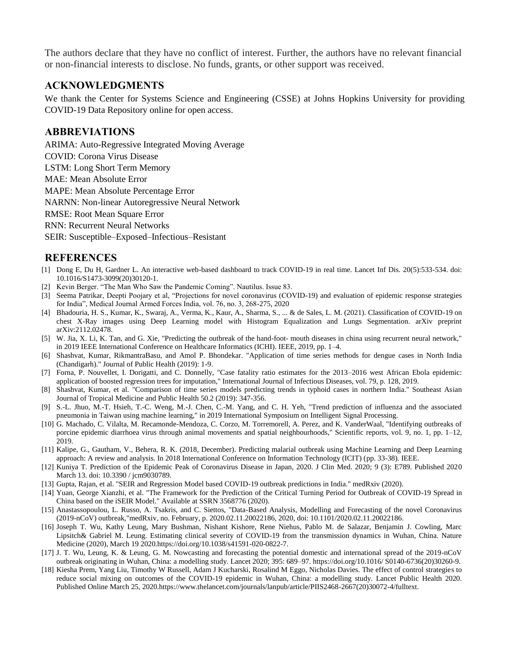The authors declare that they have no conflict of interest. Further, the authors have no relevant financial or non-financial interests to disclose. No funds, grants, or other support was received.

## **ACKNOWLEDGMENTS**

We thank the Center for Systems Science and Engineering (CSSE) at Johns Hopkins University for providing COVID-19 Data Repository online for open access.

### **ABBREVIATIONS**

ARIMA: Auto-Regressive Integrated Moving Average

COVID: Corona Virus Disease

LSTM: Long Short Term Memory

MAE: Mean Absolute Error

MAPE: Mean Absolute Percentage Error

NARNN: Non-linear Autoregressive Neural Network

RMSE: Root Mean Square Error

RNN: Recurrent Neural Networks

SEIR: Susceptible–Exposed–Infectious–Resistant

#### **REFERENCES**

- [1] Dong E, Du H, Gardner L. An interactive web-based dashboard to track COVID-19 in real time. Lancet Inf Dis. 20(5):533-534. doi: 10.1016/S1473-3099(20)30120-1.
- [2] Kevin Berger. "The Man Who Saw the Pandemic Coming". Nautilus. Issue 83.
- [3] Seema Patrikar, Deepti Poojary et al, "Projections for novel coronavirus (COVID-19) and evaluation of epidemic response strategies for India", Medical Journal Armed Forces India, vol. 76, no. 3, 268-275, 2020
- [4] Bhadouria, H. S., Kumar, K., Swaraj, A., Verma, K., Kaur, A., Sharma, S., ... & de Sales, L. M. (2021). Classification of COVID-19 on chest X-Ray images using Deep Learning model with Histogram Equalization and Lungs Segmentation. arXiv preprint arXiv:2112.02478.
- [5] W. Jia, X. Li, K. Tan, and G. Xie, "Predicting the outbreak of the hand-foot- mouth diseases in china using recurrent neural network," in 2019 IEEE International Conference on Healthcare Informatics (ICHI). IEEE, 2019, pp. 1–4.
- [6] Shashvat, Kumar, RikmantraBasu, and Amol P. Bhondekar. "Application of time series methods for dengue cases in North India (Chandigarh)." Journal of Public Health (2019): 1-9.
- [7] Forna, P. Nouvellet, I. Dorigatti, and C. Donnelly, "Case fatality ratio estimates for the 2013–2016 west African Ebola epidemic: application of boosted regression trees for imputation," International Journal of Infectious Diseases, vol. 79, p. 128, 2019.
- [8] Shashvat, Kumar, et al. "Comparison of time series models predicting trends in typhoid cases in northern India." Southeast Asian Journal of Tropical Medicine and Public Health 50.2 (2019): 347-356.
- [9] S.-L. Jhuo, M.-T. Hsieh, T.-C. Weng, M.-J. Chen, C.-M. Yang, and C. H. Yeh, "Trend prediction of influenza and the associated pneumonia in Taiwan using machine learning," in 2019 International Symposium on Intelligent Signal Processing.
- [10] G. Machado, C. Vilalta, M. Recamonde-Mendoza, C. Corzo, M. Torremorell, A. Perez, and K. VanderWaal, "Identifying outbreaks of porcine epidemic diarrhoea virus through animal movements and spatial neighbourhoods," Scientific reports, vol. 9, no. 1, pp. 1–12, 2019.
- [11] Kalipe, G., Gautham, V., Behera, R. K. (2018, December). Predicting malarial outbreak using Machine Learning and Deep Learning approach: A review and analysis. In 2018 International Conference on Information Technology (ICIT) (pp. 33-38). IEEE.
- [12] Kuniya T. Prediction of the Epidemic Peak of Coronavirus Disease in Japan, 2020. J Clin Med. 2020; 9 (3): E789. Published 2020 March 13. doi: 10.3390 / jcm9030789.
- [13] Gupta, Rajan, et al. "SEIR and Regression Model based COVID-19 outbreak predictions in India." medRxiv (2020).
- [14] Yuan, George Xianzhi, et al. "The Framework for the Prediction of the Critical Turning Period for Outbreak of COVID-19 Spread in China based on the iSEIR Model." Available at SSRN 3568776 (2020).
- [15] Anastassopoulou, L. Russo, A. Tsakris, and C. Siettos, "Data-Based Analysis, Modelling and Forecasting of the novel Coronavirus (2019-nCoV) outbreak,"medRxiv, no. February, p. 2020.02.11.20022186, 2020, doi: 10.1101/2020.02.11.20022186.
- [16] Joseph T. Wu, Kathy Leung, Mary Bushman, Nishant Kishore, Rene Niehus, Pablo M. de Salazar, Benjamin J. Cowling, Marc Lipsitch& Gabriel M. Leung. Estimating clinical severity of COVID-19 from the transmission dynamics in Wuhan, China. Nature Medicine (2020), March 19 2020.https://doi.org/10.1038/s41591-020-0822-7.
- [17] J. T. Wu, Leung, K. & Leung, G. M. Nowcasting and forecasting the potential domestic and international spread of the 2019-nCoV outbreak originating in Wuhan, China: a modelling study. Lancet 2020; 395: 689–97. https://doi.org/10.1016/ S0140-6736(20)30260-9.
- [18] Kiesha Prem, Yang Liu, Timothy W Russell, Adam J Kucharski, Rosalind M Eggo, Nicholas Davies. The effect of control strategies to reduce social mixing on outcomes of the COVID-19 epidemic in Wuhan, China: a modelling study. Lancet Public Health 2020. Published Online March 25, 2020.https://www.thelancet.com/journals/lanpub/article/PIIS2468-2667(20)30072-4/fulltext.